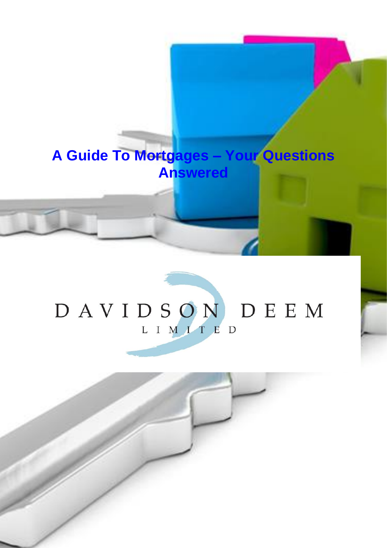

# DAVIDSON DEEM

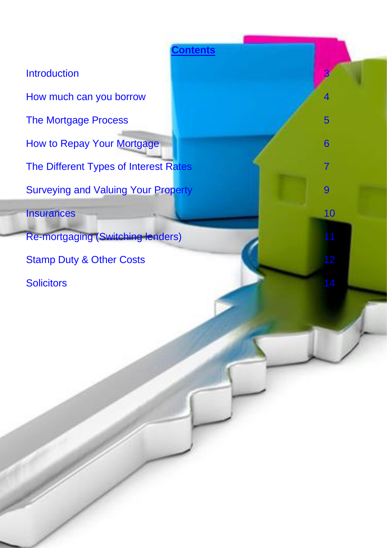**Introduction** How much can you borrow 4 The Mortgage Process **5** How to Repay Your Mortgage 6 and the contract of the contract of the contract of the contract of the contract of the contract of the contract of the contract of the contract of the contract of the contract of the contract The Different Types of Interest Rates 7 7 Surveying and Valuing Your Property **9 and 10 years of the United States Insurances** 10 and 10 and 10 and 10 and 10 and 10 and 10 and 10 and 10 and 10 and 10 and 10 and 10 and 10 and 10 Re-mortgaging (Switching lenders) 11 Stamp Duty & Other Costs 12

**Contents**

Solicitors **14**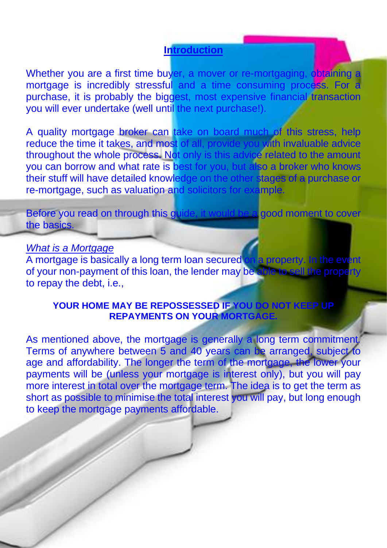# **Introduction**

Whether you are a first time buyer, a mover or re-mortgaging, obtaining a mortgage is incredibly stressful and a time consuming process. For a purchase, it is probably the biggest, most expensive financial transaction you will ever undertake (well until the next purchase!).

A quality mortgage broker can take on board much of this stress, help reduce the time it takes, and most of all, provide you with invaluable advice throughout the whole process. Not only is this advice related to the amount<br>vou can borrow and what rate is best for you, but also a broker who knows you can borrow and what rate is best for you, but their stuff will have detailed knowledge on the other stages of a purchase or re-mortgage, such as valuation and solicitors for example.

Before you read on through this guide, it would be a good moment to cover the basics.

## *What is a Mortgage*

A mortgage is basically a long term loan secured on a property. In the event of your non-payment of this loan, the lender may be able to sell the property to repay the debt, i.e.,

## **YOUR HOME MAY BE REPOSSESSED IF YOU DO NOT KEEP UP REPAYMENTS ON YOUR MORTGAGE.**

As mentioned above, the mortgage is generally a long term commitment. Terms of anywhere between 5 and 40 years can be arranged, subject to age and affordability. The longer the term of the mortgage, the lower your payments will be (unless your mortgage is interest only), but you will pay more interest in total over the mortgage term. The idea is to get the term as short as possible to minimise the total interest you will pay, but long enough to keep the mortgage payments affordable.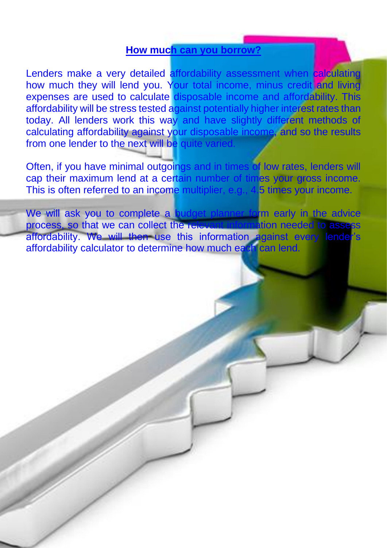# **How much can you borrow?**

Lenders make a very detailed affordability assessment when calculating how much they will lend you. Your total income, minus credit and living expenses are used to calculate disposable income and affordability. This affordability will be stress tested against potentially higher interest rates than today. All lenders work this way and have slightly different methods of calculating affordability against your disposable income, and so the results from one lender to the next will be quite varied.

Often, if you have minimal outgoings and in times of low rates, lenders will cap their maximum lend at a certain number of times your gross income. This is often referred to an income multiplier, e.g., 4.5 times your income.

We will ask you to complete a budget planner form early in the advice<br>process, so that we can collect the relevant information needed to assess process, so that we can collect the relevant in affordability. We will then use this information against every lender's affordability calculator to determine how much each can lend.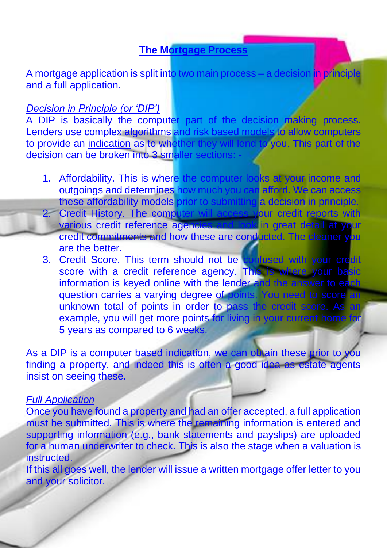# **The Mortgage Process**

A mortgage application is split into two main process – a decision in principle and a full application.

# *Decision in Principle (or 'DIP')*

A DIP is basically the computer part of the decision making process. Lenders use complex algorithms and risk based models to allow computers to provide an indication as to whether they will lend to you. This part of the decision can be broken into 3 smaller sections:

- 1. Affordability. This is where the computer looks at your income and outgoings and determines how much you can afford. We can access outgoings and determines how much you c these affordability models prior to submitting a decision in principle. 2. Credit History. The computer will access your credit reports with various credit reference agencies and look in great detail at your various credit reference agencies and credit commitments and how these are conducted. The cleaner you are the better.
- 3. Credit Score. This term should not be confused with your credit score with a credit reference agency. This is where your basic information is keyed online with the lender and the answer to each question carries a varying degree of points. You need to score an unknown total of points in order to pass the credit score. As an example, you will get more points for living in your current home for 5 years as compared to 6 weeks.

As a DIP is a computer based indication, we can obtain these prior to you finding a property, and indeed this is often a good idea as estate agents insist on seeing these.

## *Full Application*

Once you have found a property and had an offer accepted, a full application must be submitted. This is where the remaining information is entered and supporting information (e.g., bank statements and payslips) are uploaded for a human underwriter to check. This is also the stage when a valuation is **instructed.** 

If this all goes well, the lender will issue a written mortgage offer letter to you and your solicitor.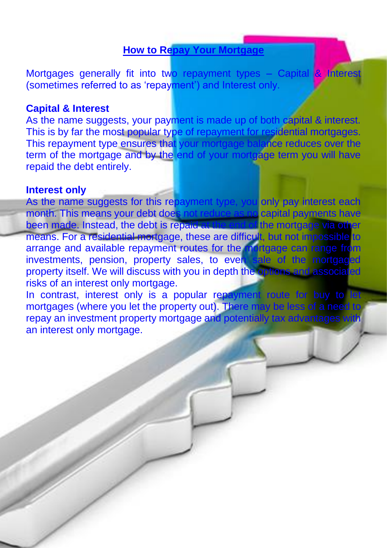# **How to Repay Your Mortgage**

Mortgages generally fit into two repayment types  $-$  Capital & Interest (sometimes referred to as 'repayment') and Interest only.

## **Capital & Interest**

As the name suggests, your payment is made up of both capital & interest. This is by far the most popular type of repayment for residential mortgages. This repayment type ensures that your mortgage balance reduces over the term of the mortgage and by the end of your mortgage term you will have repaid the debt entirely.

## **Interest only**

As the name suggests for this repayment type, you only pay interest each month. This means your debt does not reduce as no capital payments have<br>been made. Instead, the debt is repaid at the end of the mortgage via other been made. Instead, the debt is repaid at the means. For a residential mortgage, these are difficult, but not impossible to arrange and available repayment routes for the mortgage can range from investments, pension, property sales, to even sale of the mortgaged property itself. We will discuss with you in depth the options and associated risks of an interest only mortgage.

In contrast, interest only is a popular repayment route for buy to let mortgages (where you let the property out). There may be less of a need to repay an investment property mortgage and potentially tax advantages with an interest only mortgage.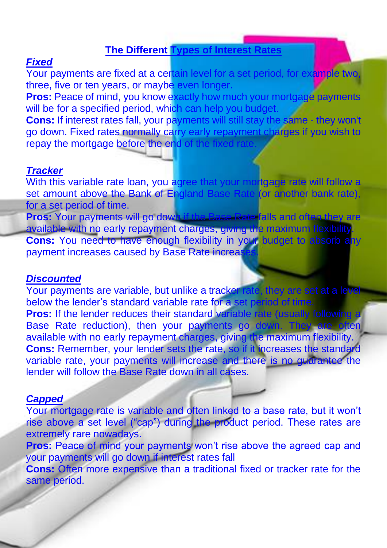# **The Different Types of Interest Rates**

#### *Fixed*

Your payments are fixed at a certain level for a set period, for example two, three, five or ten years, or maybe even longer.

**Pros: Peace of mind, you know exactly how much your mortgage payments** will be for a specified period, which can help you budget.

**Cons:** If interest rates fall, your payments will still stay the same - they won't go down. Fixed rates normally carry early repayment charges if you wish to repay the mortgage before the end of the fixed rate.

#### *Tracker*

With this variable rate loan, you agree that your mortgage rate will follow a set amount above the Bank of England Base Rate (or another bank rate). set amount above the Bank of England Base Rate for a set period of time.

**Pros:** Your payments will go down if the Base Rate falls and often they are available with no early repayment charges, giving the maximum flexibility **Cons:** You need to have enough flexibility in your budget to absorb any payment increases caused by Base Rate increases

#### *Discounted*

Your payments are variable, but unlike a tracker rate, they are set at a level below the lender's standard variable rate for a set period of time. **Pros:** If the lender reduces their standard variable rate (usually following Base Rate reduction), then your payments go down. They available with no early repayment charges, giving the maximum flexibility. **Cons:** Remember, your lender sets the rate, so if it increases the standard variable rate, your payments will increase and there is no guarantee the lender will follow the Base Rate down in all cases.

#### *Capped*

Your mortgage rate is variable and often linked to a base rate, but it won't rise above a set level ("cap") during the product period. These rates are extremely rare nowadays.

**Pros:** Peace of mind your payments won't rise above the agreed cap and your payments will go down if interest rates fall

**Cons:** Often more expensive than a traditional fixed or tracker rate for the same period.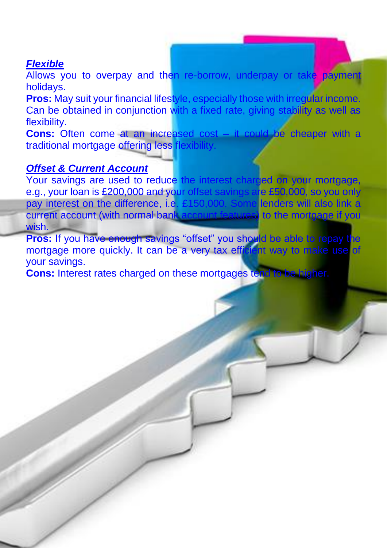# *Flexible*

Allows you to overpay and then re-borrow, underpay or take payment holidays.

**Pros:** May suit your financial lifestyle, especially those with irregular income. Can be obtained in conjunction with a fixed rate, giving stability as well as flexibility.

**Cons:** Often come at an increased cost – it could be cheaper with a traditional mortgage offering less flexibility.

# *Offset & Current Account*

Your savings are used to reduce the interest charged on your mortgage, e.g., your loan is £200,000 and your offset savings are £50,000, so you only pay interest on the difference. i.e. £150,000. Some lenders will also link a pay interest on the difference, i.e. £150,000. current account (with normal bank account features) to the mortgage if you wish.

**Pros:** If you have enough savings "offset" you should be able to repay the mortgage more quickly. It can be a very tax efficient way to make use of your savings.

**Cons:** Interest rates charged on these mortgages tend to be higher.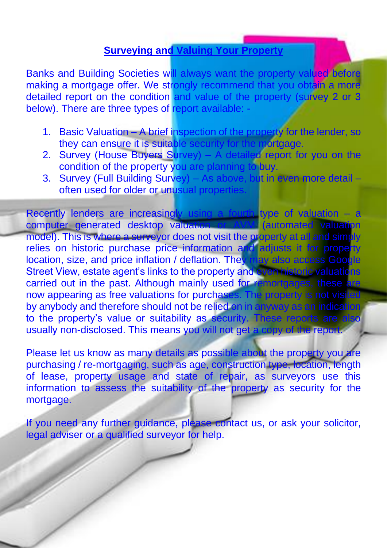# **Surveying and Valuing Your Property**

Banks and Building Societies will always want the property valued before making a mortgage offer. We strongly recommend that you obtain a more detailed report on the condition and value of the property (survey 2 or 3 below). There are three types of report available: -

- 1. Basic Valuation A brief inspection of the property for the lender, so they can ensure it is suitable security for the mortgage. they can ensure it is suitable security for the
- 2. Survey (House Buyers Survey) A detailed report for you on the condition of the property you are planning to buy.
- 3. Survey (Full Building Survey) As above, but in even more detail often used for older or unusual properties

Recently lenders are increasingly using a fourth type of valuation  $-$  a computer generated desktop valuation or AVM (automated valuation model). This is where a surveyor does not visit the property at all and simply relies on historic purchase price information and adjusts it for property location, size, and price inflation / deflation. They may also access Google Street View, estate agent's links to the property and even historic valuations carried out in the past. Although mainly used for remortgages, these are now appearing as free valuations for purchases. The property is not visited by anybody and therefore should not be relied on in anyway as an indication to the property's value or suitability as security. These reports are also usually non-disclosed. This means you will not get a copy of the report.

Please let us know as many details as possible about the property you are purchasing / re-mortgaging, such as age, construction type, location, length of lease, property usage and state of repair, as surveyors use this information to assess the suitability of the property as security for the mortgage.

If you need any further guidance, please contact us, or ask your solicitor, legal adviser or a qualified surveyor for help.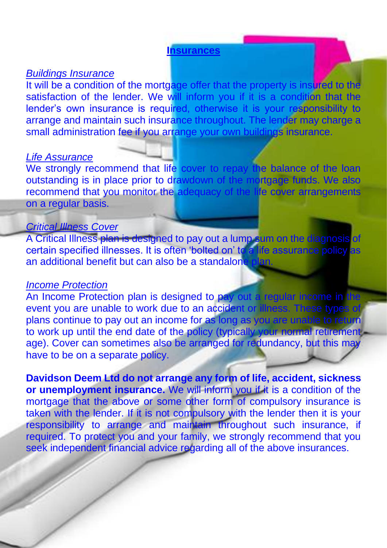## **Insurances**

#### *Buildings Insurance*

It will be a condition of the mortgage offer that the property is insured to the satisfaction of the lender. We will inform you if it is a condition that the lender's own insurance is required, otherwise it is your responsibility to arrange and maintain such insurance throughout. The lender may charge a small administration fee if you arrange your own buildings insurance.

## *Life Assurance*

We strongly recommend that life cover to repay the balance of the loan outstanding is in place prior to drawdown of the mortgage funds. We also recommend that you monitor the adequacy of the life cover arrangements on a regular basis.

# *Critical Illness Cover*

A Critical Illness plan is designed to pay out a lump sum on the diagnosis of certain specified illnesses. It is often 'bolted on' to a life assurance policy as an additional benefit but can also be a standalone plan.

## *Income Protection*

An Income Protection plan is designed to pay out a regular income in the event you are unable to work due to an accident or illness. These types of plans continue to pay out an income for as long as you are unable to return to work up until the end date of the policy (typically your normal retirement) age). Cover can sometimes also be arranged for redundancy, but this may have to be on a separate policy.

**Davidson Deem Ltd do not arrange any form of life, accident, sickness or unemployment insurance.** We will inform you if it is a condition of the mortgage that the above or some other form of compulsory insurance is taken with the lender. If it is not compulsory with the lender then it is your responsibility to arrange and maintain throughout such insurance, if required. To protect you and your family, we strongly recommend that you seek independent financial advice regarding all of the above insurances.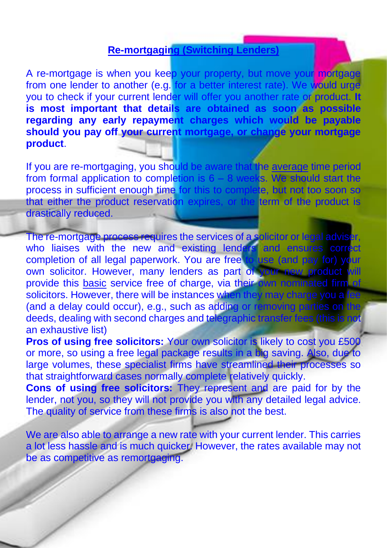# **Re-mortgaging (Switching Lenders)**

A re-mortgage is when you keep your property, but move your mortgage from one lender to another (e.g. for a better interest rate). We would urge you to check if your current lender will offer you another rate or product. **It is most important that details are obtained as soon as possible regarding any early repayment charges which would be payable should you pay off your current mortgage, or change your mortgage product**.

If you are re-mortgaging, you should be aware that the <u>average</u> time period from formal application to completion is  $6 - 8$  weeks. We should start the from formal application to completion is 6 process in sufficient enough time for this to complete, but not too soon so that either the product reservation expires, or the term of the product is drastically reduced.

The re-mortgage process requires the services of a solicitor or legal adviser, who liaises with the new and existing lenders and ensures correct completion of all legal paperwork. You are free to use (and pay for) your own solicitor. However, many lenders as part of your new product will provide this basic service free of charge, via their own nominated firm of solicitors. However, there will be instances when they may charge you a fee (and a delay could occur), e.g., such as adding or removing parties on the deeds, dealing with second charges and telegraphic transfer fees (this is not an exhaustive list)

**Pros of using free solicitors:** Your own solicitor is likely to cost you £500 or more, so using a free legal package results in a big saving. Also, due to large volumes, these specialist firms have streamlined their processes so that straightforward cases normally complete relatively quickly.

**Cons of using free solicitors:** They represent and are paid for by the lender, not you, so they will not provide you with any detailed legal advice. The quality of service from these firms is also not the best.

We are also able to arrange a new rate with your current lender. This carries a lot less hassle and is much quicker. However, the rates available may not be as competitive as remortgaging.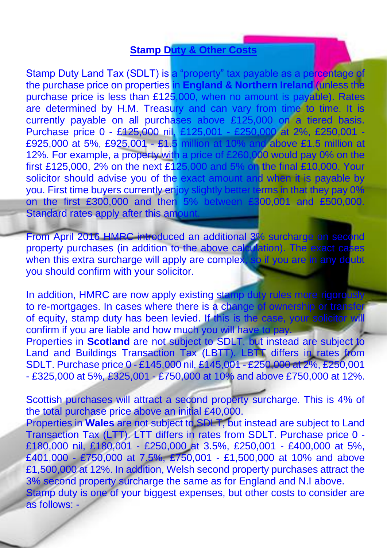# **Stamp Duty & Other Costs**

Stamp Duty Land Tax (SDLT) is a "property" tax payable as a percentage of the purchase price on properties in **England & Northern Ireland** (unless the purchase price is less than £125,000, when no amount is payable). Rates are determined by H.M. Treasury and can vary from time to time. It is currently payable on all purchases above £125,000 on a tiered basis. Purchase price 0 - £125,000 nil, £125,001 - £250,000 at 2%, £250,001 - £925,000 at 5%. £925,001 - £1.5 million at £925,000 at 5%, £925,001 - £1.5 million at 10% 12%. For example, a property with a price of £260,000 would pay 0% on the first £125,000, 2% on the next £125,000 and 5% on the final £10,000. Your first £125,000, 2% on the next £125,000 and  $5^{\circ}$ solicitor should advise you of the exact amount and when it is payable by you. First time buyers currently enjoy slightly better terms in that they pay 0% on the first £300,000 and then 5% between £300,001 and £500,000. Standard rates apply after this am

From April 2016 HMRC introduced an additional 3% surcharge on second property purchases (in addition to the above calculation). The exact cases when this extra surcharge will apply are complex, so if you are in any doubt you should confirm with your solicitor.

In addition, HMRC are now apply existing stamp duty rules more rigorously to re-mortgages. In cases where there is a change of ownership or transfer of equity, stamp duty has been levied. If this is the case, your solicitor will confirm if you are liable and how much you will have to pay. Properties in **Scotland** are not subject to SDLT, but instead are subject to Land and Buildings Transaction Tax (LBTT). LBTT differs in rates from SDLT. Purchase price 0 - £145,000 nil, £145,001 - £250,000 at 2%, £250,001 - £325,000 at 5%, £325,001 - £750,000 at 10% and above £750,000 at 12%.

Scottish purchases will attract a second property surcharge. This is 4% of the total purchase price above an initial £40,000. Properties in **Wales** are not subject to SDLT, but instead are subject to Land Transaction Tax (LTT). LTT differs in rates from SDLT. Purchase price 0 - £180,000 nil, £180,001 - £250,000 at 3.5%, £250,001 - £400,000 at 5%, £401,000 - £750,000 at 7.5%, £750,001 - £1,500,000 at 10% and above £1,500,000 at 12%. In addition, Welsh second property purchases attract the 3% second property surcharge the same as for England and N.I above. Stamp duty is one of your biggest expenses, but other costs to consider are as follows: -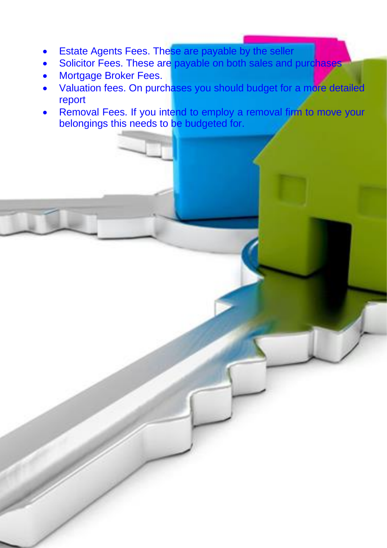- **Estate Agents Fees. These are payable by the seller**
- Solicitor Fees. These are payable on both sales and purchases
- Mortgage Broker Fees.
- Valuation fees. On purchases you should budget for a more detailed report
- Removal Fees. If you intend to employ a removal firm to move your belongings this needs to be budgeted for.